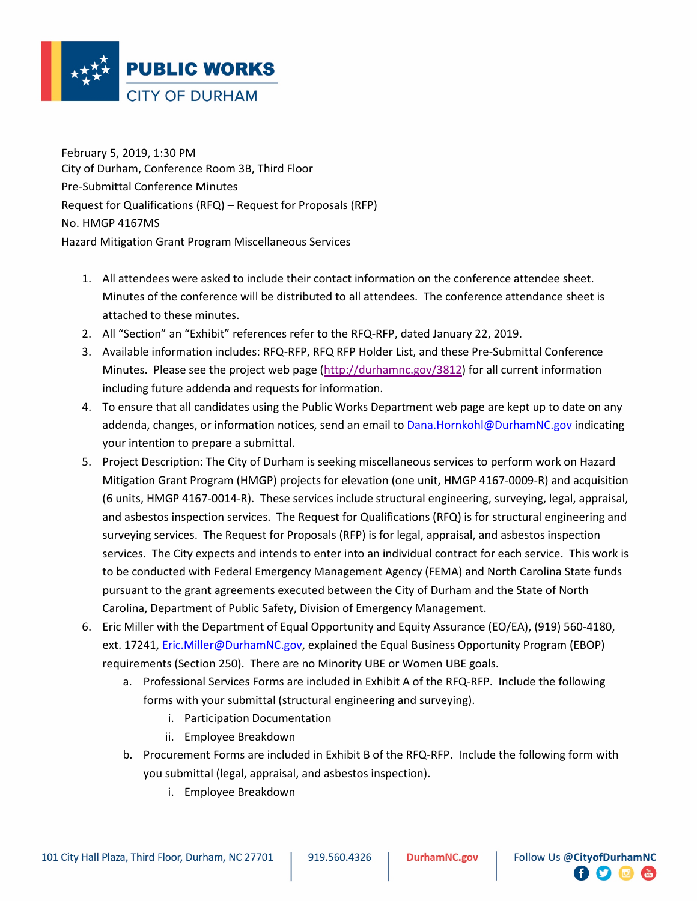

February 5, 2019, 1:30 PM City of Durham, Conference Room 3B, Third Floor Pre-Submittal Conference Minutes Request for Qualifications (RFQ) – Request for Proposals (RFP) No. HMGP 4167MS Hazard Mitigation Grant Program Miscellaneous Services

- 1. All attendees were asked to include their contact information on the conference attendee sheet. Minutes of the conference will be distributed to all attendees. The conference attendance sheet is attached to these minutes.
- 2. All "Section" an "Exhibit" references refer to the RFQ-RFP, dated January 22, 2019.
- 3. Available information includes: RFQ-RFP, RFQ RFP Holder List, and these Pre-Submittal Conference Minutes. Please see the project web page (http://durhamnc.gov/3812) for all current information including future addenda and requests for information.
- 4. To ensure that all candidates using the Public Works Department web page are kept up to date on any addenda, changes, or information notices, send an email to Dana.Hornkohl@DurhamNC.gov indicating your intention to prepare a submittal.
- 5. Project Description: The City of Durham is seeking miscellaneous services to perform work on Hazard Mitigation Grant Program (HMGP) projects for elevation (one unit, HMGP 4167-0009-R) and acquisition (6 units, HMGP 4167-0014-R). These services include structural engineering, surveying, legal, appraisal, and asbestos inspection services. The Request for Qualifications (RFQ) is for structural engineering and surveying services. The Request for Proposals (RFP) is for legal, appraisal, and asbestos inspection services. The City expects and intends to enter into an individual contract for each service. This work is to be conducted with Federal Emergency Management Agency (FEMA) and North Carolina State funds pursuant to the grant agreements executed between the City of Durham and the State of North Carolina, Department of Public Safety, Division of Emergency Management.
- 6. Eric Miller with the Department of Equal Opportunity and Equity Assurance (EO/EA), (919) 560-4180, ext. 17241, Eric.Miller@DurhamNC.gov, explained the Equal Business Opportunity Program (EBOP) requirements (Section 250). There are no Minority UBE or Women UBE goals.
	- a. Professional Services Forms are included in Exhibit A of the RFQ-RFP. Include the following forms with your submittal (structural engineering and surveying).
		- i. Participation Documentation
		- ii. Employee Breakdown
	- b. Procurement Forms are included in Exhibit B of the RFQ-RFP. Include the following form with you submittal (legal, appraisal, and asbestos inspection).
		- i. Employee Breakdown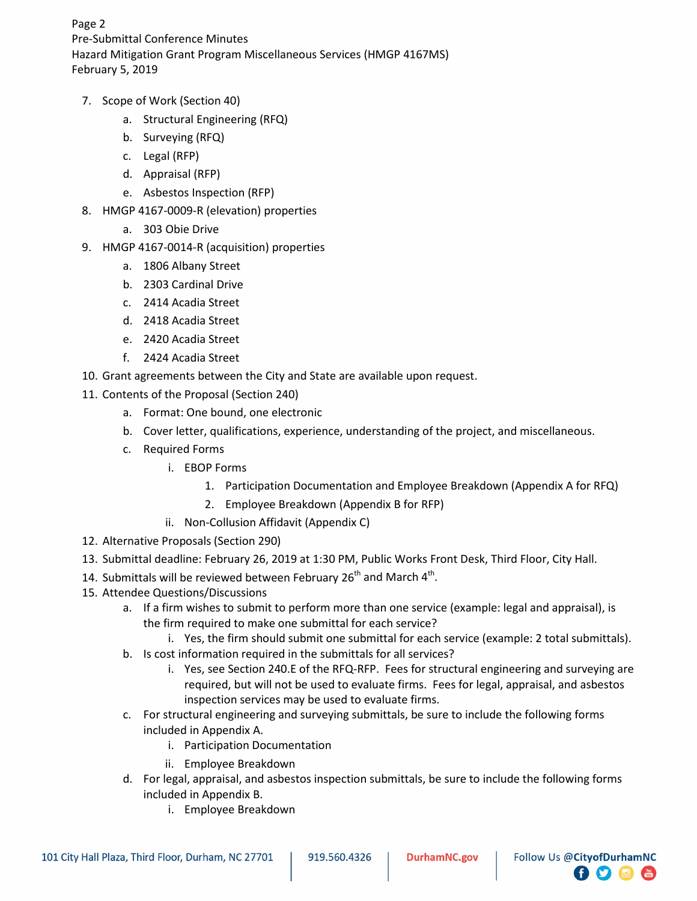Page 2 Pre-Submittal Conference Minutes Hazard Mitigation Grant Program Miscellaneous Services (HMGP 4167MS) February 5, 2019

- 7. Scope of Work (Section 40)
	- a. Structural Engineering (RFQ)
	- b. Surveying (RFQ)
	- c. Legal (RFP)
	- d. Appraisal (RFP)
	- e. Asbestos Inspection (RFP)
- 8. HMGP 4167-0009-R (elevation) properties
	- a. 303 Obie Drive
- 9. HMGP 4167-0014-R (acquisition) properties
	- a. 1806 Albany Street
	- b. 2303 Cardinal Drive
	- c. 2414 Acadia Street
	- d. 2418 Acadia Street
	- e. 2420 Acadia Street
	- f. 2424 Acadia Street
- 10. Grant agreements between the City and State are available upon request.
- 11. Contents of the Proposal (Section 240)
	- a. Format: One bound, one electronic
	- b. Cover letter, qualifications, experience, understanding of the project, and miscellaneous.
	- c. Required Forms
		- i. EBOP Forms
			- 1. Participation Documentation and Employee Breakdown (Appendix A for RFQ)
			- 2. Employee Breakdown (Appendix B for RFP)
		- ii. Non-Collusion Affidavit (Appendix C)
- 12. Alternative Proposals (Section 290)
- 13. Submittal deadline: February 26, 2019 at 1:30 PM, Public Works Front Desk, Third Floor, City Hall.
- 14. Submittals will be reviewed between February  $26<sup>th</sup>$  and March  $4<sup>th</sup>$ .
- 15. Attendee Questions/Discussions
	- a. If a firm wishes to submit to perform more than one service (example: legal and appraisal), is the firm required to make one submittal for each service?
		- i. Yes, the firm should submit one submittal for each service (example: 2 total submittals).
	- b. Is cost information required in the submittals for all services?
		- i. Yes, see Section 240.E of the RFQ-RFP. Fees for structural engineering and surveying are required, but will not be used to evaluate firms. Fees for legal, appraisal, and asbestos inspection services may be used to evaluate firms.

 $\Box$   $\Box$ 

- c. For structural engineering and surveying submittals, be sure to include the following forms included in Appendix A.
	- i. Participation Documentation
	- ii. Employee Breakdown
- d. For legal, appraisal, and asbestos inspection submittals, be sure to include the following forms included in Appendix B.
	- i. Employee Breakdown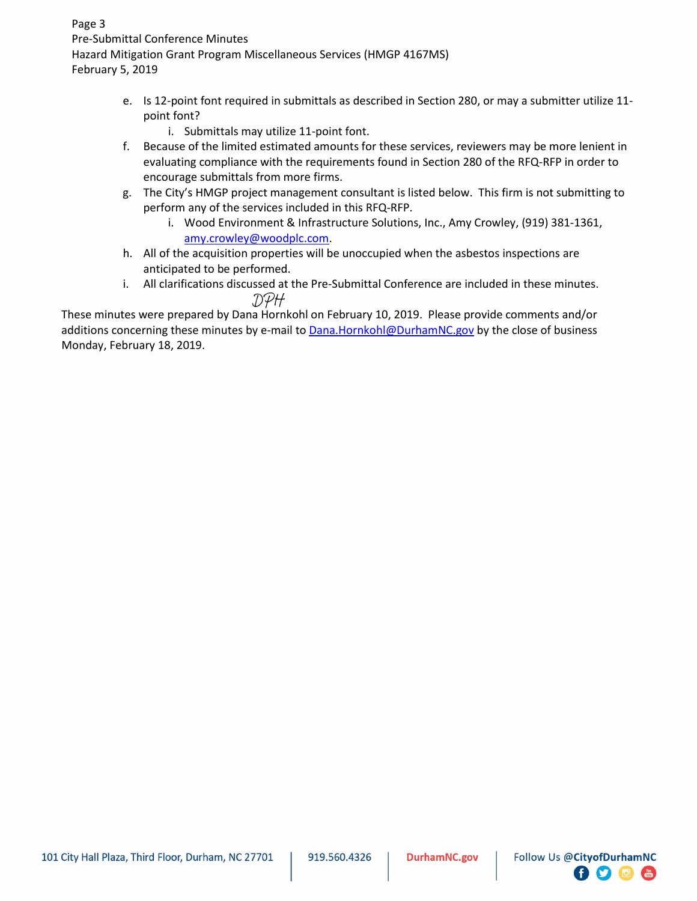Page 3 Pre-Submittal Conference Minutes Hazard Mitigation Grant Program Miscellaneous Services (HMGP 4167MS) February 5, 2019

- e. Is 12-point font required in submittals as described in Section 280, or may a submitter utilize 11 point font?
	- i. Submittals may utilize 11-point font.
- f. Because of the limited estimated amounts for these services, reviewers may be more lenient in evaluating compliance with the requirements found in Section 280 of the RFQ-RFP in order to encourage submittals from more firms.
- g. The City's HMGP project management consultant is listed below. This firm is not submitting to perform any of the services included in this RFQ-RFP.
	- i. Wood Environment & Infrastructure Solutions, Inc., Amy Crowley, (919) 381-1361, amy.crowley@woodplc.com.
- h. All of the acquisition properties will be unoccupied when the asbestos inspections are anticipated to be performed.
- i. All clarifications discussed at the Pre-Submittal Conference are included in these minutes. DPH

These minutes were prepared by Dana Hornkohl on February 10, 2019. Please provide comments and/or additions concerning these minutes by e-mail to Dana.Hornkohl@DurhamNC.gov by the close of business Monday, February 18, 2019.

日子同面